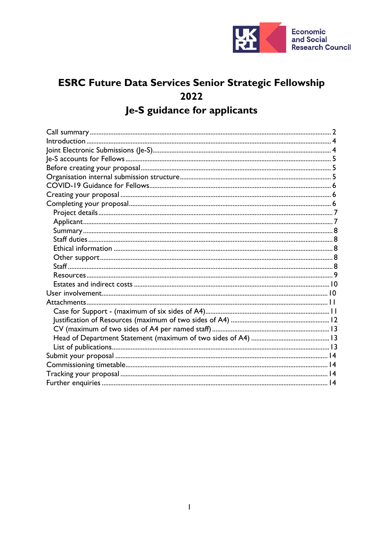

# **ESRC Future Data Services Senior Strategic Fellowship** 2022 Je-S guidance for applicants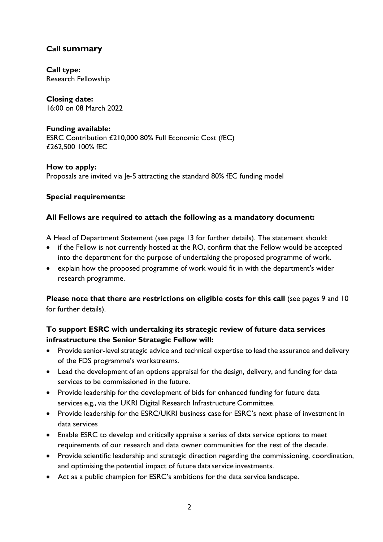# <span id="page-1-0"></span>**Call summary**

**Call type:** Research Fellowship

**Closing date:** 16:00 on 08 March 2022

# **Funding available:**

ESRC Contribution £210,000 80% Full Economic Cost (fEC) £262,500 100% fEC

**How to apply:** Proposals are invited via Je-S attracting the standard 80% fEC funding model

#### **Special requirements:**

#### **All Fellows are required to attach the following as a mandatory document:**

A Head of Department Statement (see page 13 for further details). The statement should:

- if the Fellow is not currently hosted at the RO, confirm that the Fellow would be accepted into the department for the purpose of undertaking the proposed programme of work.
- explain how the proposed programme of work would fit in with the department's wider research programme.

**Please note that there are restrictions on eligible costs for this call** (see pages 9 and 10 for further details).

## **To support ESRC with undertaking its strategic review of future data services infrastructure the Senior Strategic Fellow will:**

- Provide senior-level strategic advice and technical expertise to lead the assurance and delivery of the FDS programme's workstreams.
- Lead the development of an options appraisal for the design, delivery, and funding for data services to be commissioned in the future.
- Provide leadership for the development of bids for enhanced funding for future data services e.g., via the UKRI Digital Research Infrastructure Committee.
- Provide leadership for the ESRC/UKRI business case for ESRC's next phase of investment in data services
- Enable ESRC to develop and critically appraise a series of data service options to meet requirements of our research and data owner communities for the rest of the decade.
- Provide scientific leadership and strategic direction regarding the commissioning, coordination, and optimising the potential impact of future data service investments.
- Act as a public champion for ESRC's ambitions for the data service landscape.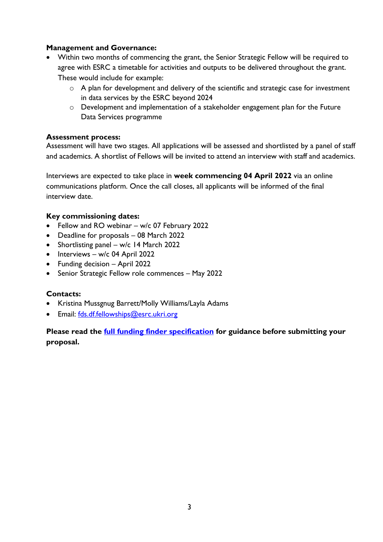#### **Management and Governance:**

- Within two months of commencing the grant, the Senior Strategic Fellow will be required to agree with ESRC a timetable for activities and outputs to be delivered throughout the grant. These would include for example:
	- o A plan for development and delivery of the scientific and strategic case for investment in data services by the ESRC beyond 2024
	- o Development and implementation of a stakeholder engagement plan for the Future Data Services programme

#### **Assessment process:**

Assessment will have two stages. All applications will be assessed and shortlisted by a panel of staff and academics. A shortlist of Fellows will be invited to attend an interview with staff and academics.

Interviews are expected to take place in **week commencing 04 April 2022** via an online communications platform. Once the call closes, all applicants will be informed of the final interview date.

#### **Key commissioning dates:**

- Fellow and RO webinar w/c 07 February 2022
- Deadline for proposals 08 March 2022
- Shortlisting panel w/c 14 March 2022
- Interviews w/c 04 April 2022
- Funding decision April 2022
- Senior Strategic Fellow role commences May 2022

#### **Contacts:**

- Kristina Mussgnug Barrett/Molly Williams/Layla Adams
- Email: [fds.df.fellowships@esrc.ukri.org](mailto:fds.df.fellowships@esrc.ukri.org)

**Please read the [full funding finder specification](https://www.ukri.org/opportunity/future-data-services-senior-strategic-fellowship-2022/) for guidance before submitting your proposal.**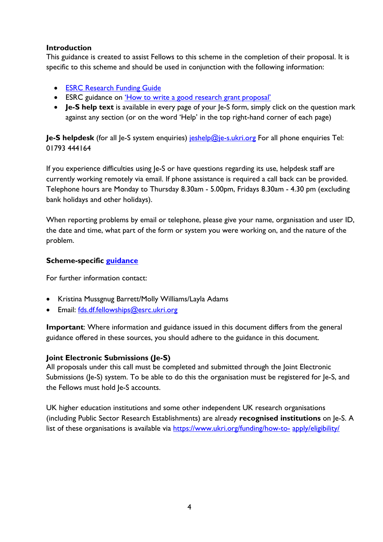#### <span id="page-3-0"></span>**Introduction**

This guidance is created to assist Fellows to this scheme in the completion of their proposal. It is specific to this scheme and should be used in conjunction with the following information:

- [ESRC Research Funding](https://esrc.ukri.org/funding/guidance-for-applicants/research-funding-guide/) Guide
- ESRC guidance on ['How to write a good research grant](https://esrc.ukri.org/funding/guidance-for-applicants/how-to-write-a-good-research-grant-proposal/) proposal'
- **Je-S help text** is available in every page of your Je-S form, simply click on the question mark against any section (or on the word 'Help' in the top right-hand corner of each page)

**Je-S helpdesk** (for all Je-S system enquiries) [jeshelp@je-s.ukri.org](mailto:jeshelp@je-s.ukri.org) For all phone enquiries Tel: 01793 444164

If you experience difficulties using Je-S or have questions regarding its use, helpdesk staff are currently working remotely via email. If phone assistance is required a call back can be provided. Telephone hours are Monday to Thursday 8.30am - 5.00pm, Fridays 8.30am - 4.30 pm (excluding bank holidays and other holidays).

When reporting problems by email or telephone, please give your name, organisation and user ID, the date and time, what part of the form or system you were working on, and the nature of the problem.

#### **Scheme-specific [guidance](https://www.ukri.org/opportunity/future-data-services-senior-strategic-fellowship-2022/)**

For further information contact:

- Kristina Mussgnug Barrett/Molly Williams/Layla Adams
- Email: [fds.df.fellowships@esrc.ukri.org](mailto:fds.df.fellowships@esrc.ukri.org)

**Important**: Where information and guidance issued in this document differs from the general guidance offered in these sources, you should adhere to the guidance in this document.

#### <span id="page-3-1"></span>**Joint Electronic Submissions (Je-S)**

All proposals under this call must be completed and submitted through the Joint Electronic Submissions (Je-S) system. To be able to do this the organisation must be registered for Je-S, and the Fellows must hold Je-S accounts.

UK higher education institutions and some other independent UK research organisations (including Public Sector Research Establishments) are already **recognised institutions** on Je-S. A list of these organisations is available via [https://www.ukri.org/funding/how-to-](https://www.ukri.org/funding/how-to-apply/eligibility/) [apply/eligibility/](https://www.ukri.org/funding/how-to-apply/eligibility/)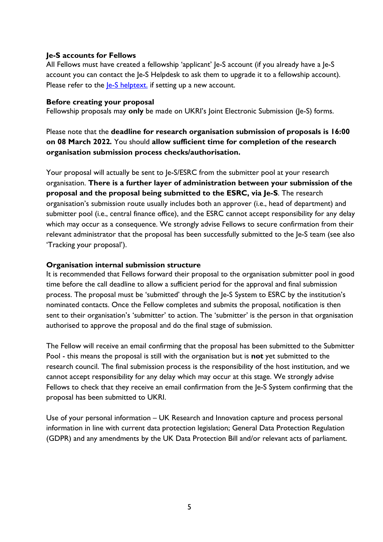#### <span id="page-4-0"></span>**Je-S accounts for Fellows**

All Fellows must have created a fellowship 'applicant' Je-S account (if you already have a Je-S account you can contact the Je-S Helpdesk to ask them to upgrade it to a fellowship account). Please refer to the  $\leq$  helptext. if setting up a new account.

#### <span id="page-4-1"></span>**Before creating your proposal**

Fellowship proposals may **only** be made on UKRI's Joint Electronic Submission (Je-S) forms.

Please note that the **deadline for research organisation submission of proposals is 16:00 on 08 March 2022***.* You should **allow sufficient time for completion of the research organisation submission process checks/authorisation.**

Your proposal will actually be sent to Je-S/ESRC from the submitter pool at your research organisation. **There is a further layer of administration between your submission of the proposal and the proposal being submitted to the ESRC, via Je-S**. The research organisation's submission route usually includes both an approver (i.e., head of department) and submitter pool (i.e., central finance office), and the ESRC cannot accept responsibility for any delay which may occur as a consequence. We strongly advise Fellows to secure confirmation from their relevant administrator that the proposal has been successfully submitted to the Je-S team (see also 'Tracking your proposal').

#### <span id="page-4-2"></span>**Organisation internal submission structure**

It is recommended that Fellows forward their proposal to the organisation submitter pool in good time before the call deadline to allow a sufficient period for the approval and final submission process. The proposal must be 'submitted' through the Je-S System to ESRC by the institution's nominated contacts. Once the Fellow completes and submits the proposal, notification is then sent to their organisation's 'submitter' to action. The 'submitter' is the person in that organisation authorised to approve the proposal and do the final stage of submission.

The Fellow will receive an email confirming that the proposal has been submitted to the Submitter Pool - this means the proposal is still with the organisation but is **not** yet submitted to the research council. The final submission process is the responsibility of the host institution, and we cannot accept responsibility for any delay which may occur at this stage. We strongly advise Fellows to check that they receive an email confirmation from the Je-S System confirming that the proposal has been submitted to UKRI.

Use of your personal information – UK Research and Innovation capture and process personal information in line with current data protection legislation; General Data Protection Regulation (GDPR) and any amendments by the UK Data Protection Bill and/or relevant acts of parliament.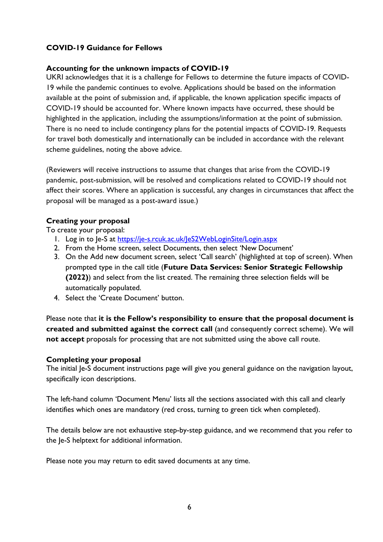## <span id="page-5-0"></span>**COVID-19 Guidance for Fellows**

#### **Accounting for the unknown impacts of COVID-19**

UKRI acknowledges that it is a challenge for Fellows to determine the future impacts of COVID-19 while the pandemic continues to evolve. Applications should be based on the information available at the point of submission and, if applicable, the known application specific impacts of COVID-19 should be accounted for. Where known impacts have occurred, these should be highlighted in the application, including the assumptions/information at the point of submission. There is no need to include contingency plans for the potential impacts of COVID-19. Requests for travel both domestically and internationally can be included in accordance with the relevant scheme guidelines, noting the above advice.

(Reviewers will receive instructions to assume that changes that arise from the COVID-19 pandemic, post-submission, will be resolved and complications related to COVID-19 should not affect their scores. Where an application is successful, any changes in circumstances that affect the proposal will be managed as a post-award issue.)

#### <span id="page-5-1"></span>**Creating your proposal**

To create your proposal:

- 1. Log in to Je-S at <https://je-s.rcuk.ac.uk/JeS2WebLoginSite/Login.aspx>
- 2. From the Home screen, select Documents, then select 'New Document'
- 3. On the Add new document screen, select 'Call search' (highlighted at top of screen). When prompted type in the call title (**Future Data Services: Senior Strategic Fellowship (2022)**) and select from the list created. The remaining three selection fields will be automatically populated.
- 4. Select the 'Create Document' button.

Please note that **it is the Fellow's responsibility to ensure that the proposal document is created and submitted against the correct call** (and consequently correct scheme). We will **not accept** proposals for processing that are not submitted using the above call route.

#### <span id="page-5-2"></span>**Completing your proposal**

The initial Je-S document instructions page will give you general guidance on the navigation layout, specifically icon descriptions.

The left-hand column 'Document Menu' lists all the sections associated with this call and clearly identifies which ones are mandatory (red cross, turning to green tick when completed).

The details below are not exhaustive step-by-step guidance, and we recommend that you refer to the Je-S helptext for additional information.

Please note you may return to edit saved documents at any time.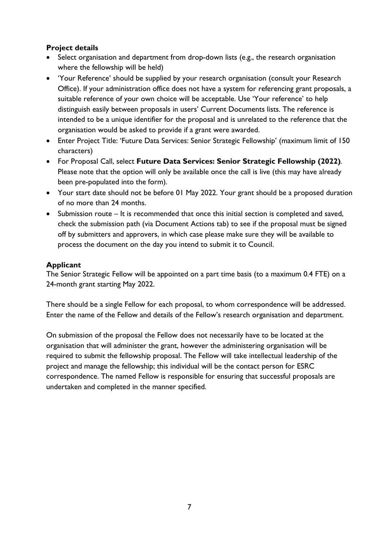## <span id="page-6-0"></span>**Project details**

- Select organisation and department from drop-down lists (e.g., the research organisation where the fellowship will be held)
- 'Your Reference' should be supplied by your research organisation (consult your Research Office). If your administration office does not have a system for referencing grant proposals, a suitable reference of your own choice will be acceptable. Use 'Your reference' to help distinguish easily between proposals in users' Current Documents lists. The reference is intended to be a unique identifier for the proposal and is unrelated to the reference that the organisation would be asked to provide if a grant were awarded.
- Enter Project Title: 'Future Data Services: Senior Strategic Fellowship' (maximum limit of 150 characters)
- For Proposal Call, select **Future Data Services: Senior Strategic Fellowship (2022)***.*  Please note that the option will only be available once the call is live (this may have already been pre-populated into the form).
- Your start date should not be before 01 May 2022. Your grant should be a proposed duration of no more than 24 months.
- Submission route It is recommended that once this initial section is completed and saved, check the submission path (via Document Actions tab) to see if the proposal must be signed off by submitters and approvers, in which case please make sure they will be available to process the document on the day you intend to submit it to Council.

## <span id="page-6-1"></span>**Applicant**

The Senior Strategic Fellow will be appointed on a part time basis (to a maximum 0.4 FTE) on a 24-month grant starting May 2022.

There should be a single Fellow for each proposal, to whom correspondence will be addressed. Enter the name of the Fellow and details of the Fellow's research organisation and department.

On submission of the proposal the Fellow does not necessarily have to be located at the organisation that will administer the grant, however the administering organisation will be required to submit the fellowship proposal. The Fellow will take intellectual leadership of the project and manage the fellowship; this individual will be the contact person for ESRC correspondence. The named Fellow is responsible for ensuring that successful proposals are undertaken and completed in the manner specified.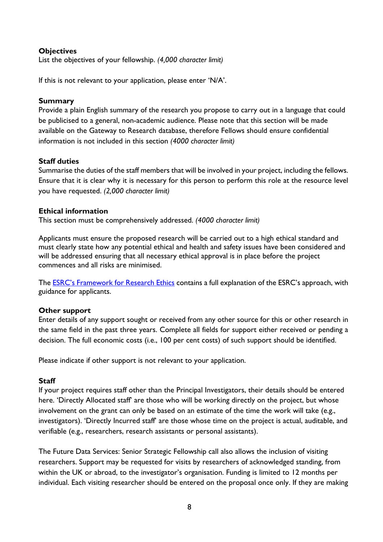#### **Objectives**

List the objectives of your fellowship. *(4,000 character limit)*

If this is not relevant to your application, please enter 'N/A'.

#### <span id="page-7-0"></span>**Summary**

Provide a plain English summary of the research you propose to carry out in a language that could be publicised to a general, non-academic audience. Please note that this section will be made available on the Gateway to Research database, therefore Fellows should ensure confidential information is not included in this section *(4000 character limit)*

#### <span id="page-7-1"></span>**Staff duties**

Summarise the duties of the staff members that will be involved in your project, including the fellows. Ensure that it is clear why it is necessary for this person to perform this role at the resource level you have requested. *(2,000 character limit)*

#### <span id="page-7-2"></span>**Ethical information**

This section must be comprehensively addressed. *(4000 character limit)*

Applicants must ensure the proposed research will be carried out to a high ethical standard and must clearly state how any potential ethical and health and safety issues have been considered and will be addressed ensuring that all necessary ethical approval is in place before the project commences and all risks are minimised.

The **ESRC's Framework for Research Ethics** contains a full explanation of the ESRC's approach, with guidance for applicants.

#### <span id="page-7-3"></span>**Other support**

Enter details of any support sought or received from any other source for this or other research in the same field in the past three years. Complete all fields for support either received or pending a decision. The full economic costs (i.e., 100 per cent costs) of such support should be identified.

Please indicate if other support is not relevant to your application.

#### <span id="page-7-4"></span>**Staff**

If your project requires staff other than the Principal Investigators, their details should be entered here. 'Directly Allocated staff' are those who will be working directly on the project, but whose involvement on the grant can only be based on an estimate of the time the work will take (e.g., investigators). 'Directly Incurred staff' are those whose time on the project is actual, auditable, and verifiable (e.g., researchers, research assistants or personal assistants).

The Future Data Services: Senior Strategic Fellowship call also allows the inclusion of visiting researchers. Support may be requested for visits by researchers of acknowledged standing, from within the UK or abroad, to the investigator's organisation. Funding is limited to 12 months per individual. Each visiting researcher should be entered on the proposal once only. If they are making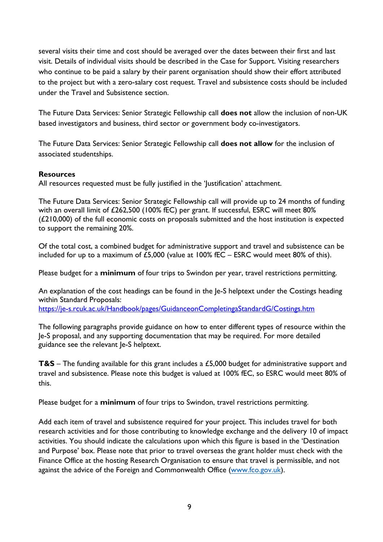several visits their time and cost should be averaged over the dates between their first and last visit. Details of individual visits should be described in the Case for Support. Visiting researchers who continue to be paid a salary by their parent organisation should show their effort attributed to the project but with a zero-salary cost request. Travel and subsistence costs should be included under the Travel and Subsistence section.

The Future Data Services: Senior Strategic Fellowship call **does not** allow the inclusion of non-UK based investigators and business, third sector or government body co-investigators.

The Future Data Services: Senior Strategic Fellowship call **does not allow** for the inclusion of associated studentships.

#### <span id="page-8-0"></span>**Resources**

All resources requested must be fully justified in the 'Justification' attachment.

The Future Data Services: Senior Strategic Fellowship call will provide up to 24 months of funding with an overall limit of £262,500 (100% fEC) per grant. If successful, ESRC will meet 80% (£210,000) of the full economic costs on proposals submitted and the host institution is expected to support the remaining 20%.

Of the total cost, a combined budget for administrative support and travel and subsistence can be included for up to a maximum of £5,000 (value at 100% fEC – ESRC would meet 80% of this).

Please budget for a **minimum** of four trips to Swindon per year, travel restrictions permitting.

An explanation of the cost headings can be found in the Je-S helptext under the Costings heading within Standard Proposals:

<https://je-s.rcuk.ac.uk/Handbook/pages/GuidanceonCompletingaStandardG/Costings.htm>

The following paragraphs provide guidance on how to enter different types of resource within the Je-S proposal, and any supporting documentation that may be required. For more detailed guidance see the relevant Je-S helptext.

**T&S** – The funding available for this grant includes a £5,000 budget for administrative support and travel and subsistence. Please note this budget is valued at 100% fEC, so ESRC would meet 80% of this.

Please budget for a **minimum** of four trips to Swindon, travel restrictions permitting.

Add each item of travel and subsistence required for your project. This includes travel for both research activities and for those contributing to knowledge exchange and the delivery 10 of impact activities. You should indicate the calculations upon which this figure is based in the 'Destination and Purpose' box. Please note that prior to travel overseas the grant holder must check with the Finance Office at the hosting Research Organisation to ensure that travel is permissible, and not against the advice of the Foreign and Commonwealth Office [\(www.fco.gov.uk\)](http://www.fco.gov.uk/).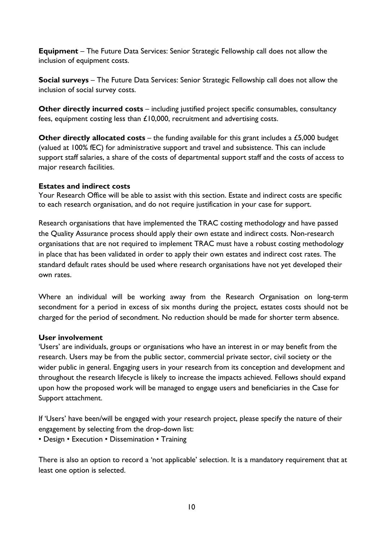**Equipment** – The Future Data Services: Senior Strategic Fellowship call does not allow the inclusion of equipment costs.

**Social surveys** – The Future Data Services: Senior Strategic Fellowship call does not allow the inclusion of social survey costs.

**Other directly incurred costs** – including justified project specific consumables, consultancy fees, equipment costing less than £10,000, recruitment and advertising costs.

**Other directly allocated costs** – the funding available for this grant includes a £5,000 budget (valued at 100% fEC) for administrative support and travel and subsistence. This can include support staff salaries, a share of the costs of departmental support staff and the costs of access to major research facilities.

#### <span id="page-9-0"></span>**Estates and indirect costs**

Your Research Office will be able to assist with this section. Estate and indirect costs are specific to each research organisation, and do not require justification in your case for support.

Research organisations that have implemented the TRAC costing methodology and have passed the Quality Assurance process should apply their own estate and indirect costs. Non-research organisations that are not required to implement TRAC must have a robust costing methodology in place that has been validated in order to apply their own estates and indirect cost rates. The standard default rates should be used where research organisations have not yet developed their own rates.

Where an individual will be working away from the Research Organisation on long-term secondment for a period in excess of six months during the project, estates costs should not be charged for the period of secondment. No reduction should be made for shorter term absence.

#### <span id="page-9-1"></span>**User involvement**

'Users' are individuals, groups or organisations who have an interest in or may benefit from the research. Users may be from the public sector, commercial private sector, civil society or the wider public in general. Engaging users in your research from its conception and development and throughout the research lifecycle is likely to increase the impacts achieved. Fellows should expand upon how the proposed work will be managed to engage users and beneficiaries in the Case for Support attachment.

If 'Users' have been/will be engaged with your research project, please specify the nature of their engagement by selecting from the drop-down list:

• Design • Execution • Dissemination • Training

There is also an option to record a 'not applicable' selection. It is a mandatory requirement that at least one option is selected.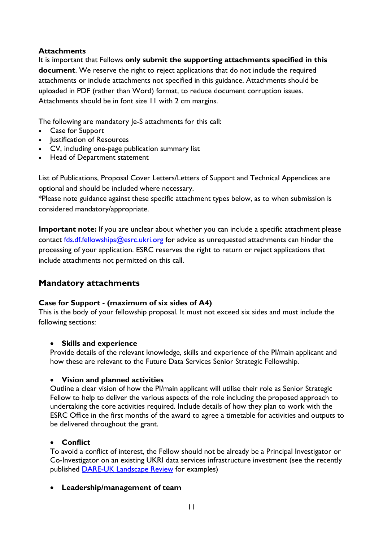#### <span id="page-10-0"></span>**Attachments**

It is important that Fellows **only submit the supporting attachments specified in this document**. We reserve the right to reject applications that do not include the required attachments or include attachments not specified in this guidance. Attachments should be uploaded in PDF (rather than Word) format, to reduce document corruption issues. Attachments should be in font size 11 with 2 cm margins.

The following are mandatory Je-S attachments for this call:

- Case for Support
- Justification of Resources
- CV, including one-page publication summary list
- Head of Department statement

List of Publications, Proposal Cover Letters/Letters of Support and Technical Appendices are optional and should be included where necessary.

\*Please note guidance against these specific attachment types below, as to when submission is considered mandatory/appropriate.

**Important note:** If you are unclear about whether you can include a specific attachment please contact [fds.df.fellowships@esrc.ukri.org](mailto:fds.df.fellowships@esrc.ukri.org) for advice as unrequested attachments can hinder the processing of your application. ESRC reserves the right to return or reject applications that include attachments not permitted on this call.

# **Mandatory attachments**

#### <span id="page-10-1"></span>**Case for Support - (maximum of six sides of A4)**

This is the body of your fellowship proposal. It must not exceed six sides and must include the following sections:

#### • **Skills and experience**

Provide details of the relevant knowledge, skills and experience of the PI/main applicant and how these are relevant to the Future Data Services Senior Strategic Fellowship.

#### • **Vision and planned activities**

Outline a clear vision of how the PI/main applicant will utilise their role as Senior Strategic Fellow to help to deliver the various aspects of the role including the proposed approach to undertaking the core activities required. Include details of how they plan to work with the ESRC Office in the first months of the award to agree a timetable for activities and outputs to be delivered throughout the grant.

#### • **Conflict**

To avoid a conflict of interest, the Fellow should not be already be a Principal Investigator or Co-Investigator on an existing UKRI data services infrastructure investment (see the recently published [DARE-UK Landscape Review](https://eur01.safelinks.protection.outlook.com/?url=https%3A%2F%2Fdareuk.org.uk%2Fwp-content%2Fuploads%2F2021%2F11%2FDARE_UK_Data_Research_Infrastructure_Landscape_Review_Oct_2021.pdf&data=04%7C01%7CHannah.Sharp%40esrc.ukri.org%7C27110da2d6e14c3dc3e308d9db3fc31d%7C2dcfd016f9df488cb16b68345b59afb7%7C0%7C0%7C637781889157625764%7CUnknown%7CTWFpbGZsb3d8eyJWIjoiMC4wLjAwMDAiLCJQIjoiV2luMzIiLCJBTiI6Ik1haWwiLCJXVCI6Mn0%3D%7C3000&sdata=UeE9U4RsjrNlQ%2FFWmgN%2F0V02PunAdgWaMA4xsI46jJA%3D&reserved=0) for examples)

#### • **Leadership/management of team**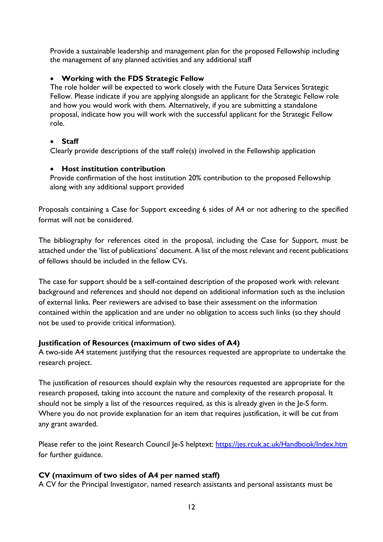Provide a sustainable leadership and management plan for the proposed Fellowship including the management of any planned activities and any additional staff

## • **Working with the FDS Strategic Fellow**

The role holder will be expected to work closely with the Future Data Services Strategic Fellow. Please indicate if you are applying alongside an applicant for the Strategic Fellow role and how you would work with them. Alternatively, if you are submitting a standalone proposal, indicate how you will work with the successful applicant for the Strategic Fellow role.

## • **Staff**

Clearly provide descriptions of the staff role(s) involved in the Fellowship application

## • **Host institution contribution**

Provide confirmation of the host institution 20% contribution to the proposed Fellowship along with any additional support provided

Proposals containing a Case for Support exceeding 6 sides of A4 or not adhering to the specified format will not be considered.

The bibliography for references cited in the proposal, including the Case for Support, must be attached under the 'list of publications' document. A list of the most relevant and recent publications of fellows should be included in the fellow CVs.

The case for support should be a self-contained description of the proposed work with relevant background and references and should not depend on additional information such as the inclusion of external links. Peer reviewers are advised to base their assessment on the information contained within the application and are under no obligation to access such links (so they should not be used to provide critical information).

## <span id="page-11-0"></span>**Justification of Resources (maximum of two sides of A4)**

A two-side A4 statement justifying that the resources requested are appropriate to undertake the research project.

The justification of resources should explain why the resources requested are appropriate for the research proposed, taking into account the nature and complexity of the research proposal. It should not be simply a list of the resources required, as this is already given in the Je-S form. Where you do not provide explanation for an item that requires justification, it will be cut from any grant awarded.

Please refer to the joint Research Council Je-S helptext:<https://jes.rcuk.ac.uk/Handbook/Index.htm> for further guidance.

## <span id="page-11-1"></span>**CV (maximum of two sides of A4 per named staff)**

A CV for the Principal Investigator, named research assistants and personal assistants must be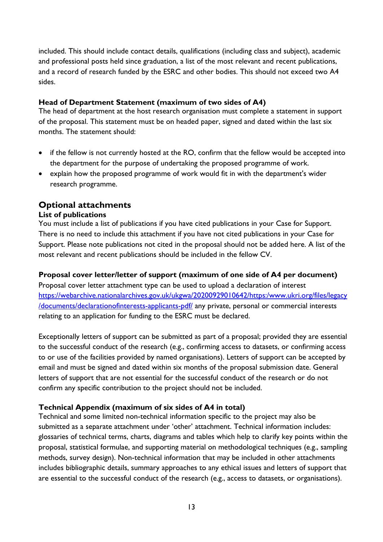included. This should include contact details, qualifications (including class and subject), academic and professional posts held since graduation, a list of the most relevant and recent publications, and a record of research funded by the ESRC and other bodies. This should not exceed two A4 sides.

#### <span id="page-12-0"></span>**Head of Department Statement (maximum of two sides of A4)**

The head of department at the host research organisation must complete a statement in support of the proposal. This statement must be on headed paper, signed and dated within the last six months. The statement should:

- if the fellow is not currently hosted at the RO, confirm that the fellow would be accepted into the department for the purpose of undertaking the proposed programme of work.
- explain how the proposed programme of work would fit in with the department's wider research programme.

# **Optional attachments**

#### <span id="page-12-1"></span>**List of publications**

You must include a list of publications if you have cited publications in your Case for Support. There is no need to include this attachment if you have not cited publications in your Case for Support. Please note publications not cited in the proposal should not be added here. A list of the most relevant and recent publications should be included in the fellow CV.

#### **Proposal cover letter/letter of support (maximum of one side of A4 per document)**

Proposal cover letter attachment type can be used to upload a declaration of interest [https://webarchive.nationalarchives.gov.uk/ukgwa/20200929010642/https:/www.ukri.org/files/legacy](https://webarchive.nationalarchives.gov.uk/ukgwa/20200929010642/https:/www.ukri.org/files/legacy/documents/declarationofinterests-applicants-pdf/) [/documents/declarationofinterests-applicants-pdf/](https://webarchive.nationalarchives.gov.uk/ukgwa/20200929010642/https:/www.ukri.org/files/legacy/documents/declarationofinterests-applicants-pdf/) any private, personal or commercial interests relating to an application for funding to the ESRC must be declared.

Exceptionally letters of support can be submitted as part of a proposal; provided they are essential to the successful conduct of the research (e.g., confirming access to datasets, or confirming access to or use of the facilities provided by named organisations). Letters of support can be accepted by email and must be signed and dated within six months of the proposal submission date. General letters of support that are not essential for the successful conduct of the research or do not confirm any specific contribution to the project should not be included.

#### **Technical Appendix (maximum of six sides of A4 in total)**

Technical and some limited non-technical information specific to the project may also be submitted as a separate attachment under 'other' attachment. Technical information includes: glossaries of technical terms, charts, diagrams and tables which help to clarify key points within the proposal, statistical formulae, and supporting material on methodological techniques (e.g., sampling methods, survey design). Non-technical information that may be included in other attachments includes bibliographic details, summary approaches to any ethical issues and letters of support that are essential to the successful conduct of the research (e.g., access to datasets, or organisations).